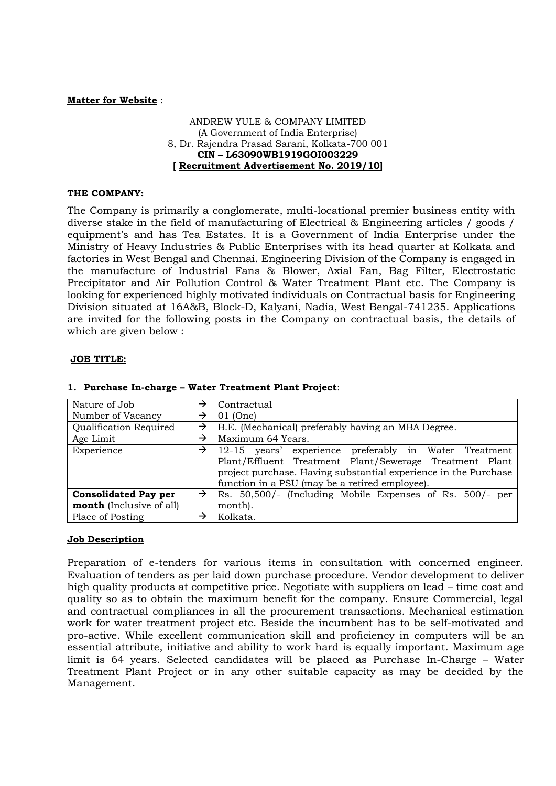#### **Matter for Website** :

### ANDREW YULE & COMPANY LIMITED (A Government of India Enterprise) 8, Dr. Rajendra Prasad Sarani, Kolkata-700 001 **CIN – L63090WB1919GOI003229 [ Recruitment Advertisement No. 2019/10]**

### **THE COMPANY:**

The Company is primarily a conglomerate, multi-locational premier business entity with diverse stake in the field of manufacturing of Electrical & Engineering articles / goods / equipment's and has Tea Estates. It is a Government of India Enterprise under the Ministry of Heavy Industries & Public Enterprises with its head quarter at Kolkata and factories in West Bengal and Chennai. Engineering Division of the Company is engaged in the manufacture of Industrial Fans & Blower, Axial Fan, Bag Filter, Electrostatic Precipitator and Air Pollution Control & Water Treatment Plant etc. The Company is looking for experienced highly motivated individuals on Contractual basis for Engineering Division situated at 16A&B, Block-D, Kalyani, Nadia, West Bengal-741235. Applications are invited for the following posts in the Company on contractual basis, the details of which are given below :

### **JOB TITLE:**

| Nature of Job                   | →             | Contractual                                                                                                      |  |  |  |
|---------------------------------|---------------|------------------------------------------------------------------------------------------------------------------|--|--|--|
| Number of Vacancy               | →             | $01$ (One)                                                                                                       |  |  |  |
| Qualification Required          | →             | B.E. (Mechanical) preferably having an MBA Degree.                                                               |  |  |  |
| Age Limit                       | →             | Maximum 64 Years.                                                                                                |  |  |  |
| Experience                      | →             | 12-15 years' experience preferably in Water Treatment<br>Plant/Effluent Treatment Plant/Sewerage Treatment Plant |  |  |  |
|                                 |               | project purchase. Having substantial experience in the Purchase                                                  |  |  |  |
|                                 |               | function in a PSU (may be a retired employee).                                                                   |  |  |  |
| <b>Consolidated Pay per</b>     | $\rightarrow$ | Rs. 50,500/- (Including Mobile Expenses of Rs. 500/- per                                                         |  |  |  |
| <b>month</b> (Inclusive of all) |               | month).                                                                                                          |  |  |  |
| Place of Posting                | →             | Kolkata.                                                                                                         |  |  |  |

### **1. Purchase In-charge – Water Treatment Plant Project**:

### **Job Description**

Preparation of e-tenders for various items in consultation with concerned engineer. Evaluation of tenders as per laid down purchase procedure. Vendor development to deliver high quality products at competitive price. Negotiate with suppliers on lead – time cost and quality so as to obtain the maximum benefit for the company. Ensure Commercial, legal and contractual compliances in all the procurement transactions. Mechanical estimation work for water treatment project etc. Beside the incumbent has to be self-motivated and pro-active. While excellent communication skill and proficiency in computers will be an essential attribute, initiative and ability to work hard is equally important. Maximum age limit is 64 years. Selected candidates will be placed as Purchase In-Charge – Water Treatment Plant Project or in any other suitable capacity as may be decided by the Management.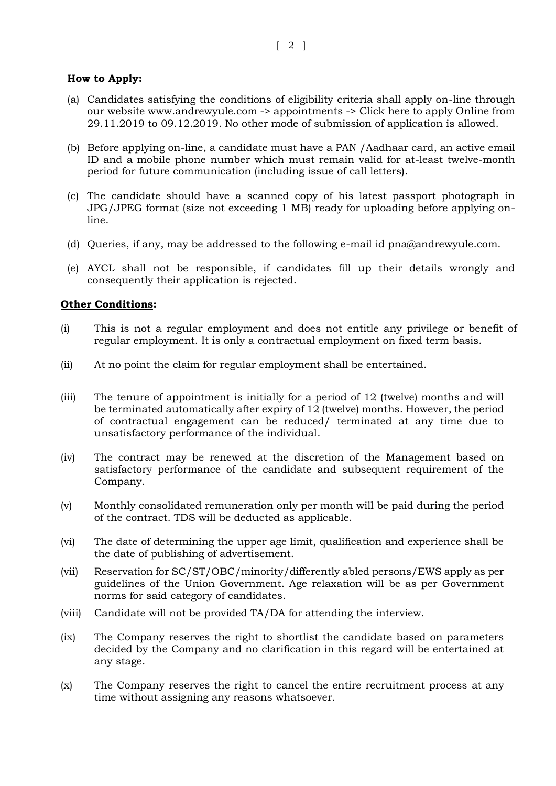## **How to Apply:**

- (a) Candidates satisfying the conditions of eligibility criteria shall apply on-line through our website www.andrewyule.com -> appointments -> Click here to apply Online from 29.11.2019 to 09.12.2019. No other mode of submission of application is allowed.
- (b) Before applying on-line, a candidate must have a PAN /Aadhaar card, an active email ID and a mobile phone number which must remain valid for at-least twelve-month period for future communication (including issue of call letters).
- (c) The candidate should have a scanned copy of his latest passport photograph in JPG/JPEG format (size not exceeding 1 MB) ready for uploading before applying online.
- (d) Oueries, if any, may be addressed to the following e-mail id [pna@andrewyule.com.](mailto:pna@andrewyule.com)
- (e) AYCL shall not be responsible, if candidates fill up their details wrongly and consequently their application is rejected.

## **Other Conditions:**

- (i) This is not a regular employment and does not entitle any privilege or benefit of regular employment. It is only a contractual employment on fixed term basis.
- (ii) At no point the claim for regular employment shall be entertained.
- (iii) The tenure of appointment is initially for a period of 12 (twelve) months and will be terminated automatically after expiry of 12 (twelve) months. However, the period of contractual engagement can be reduced/ terminated at any time due to unsatisfactory performance of the individual.
- (iv) The contract may be renewed at the discretion of the Management based on satisfactory performance of the candidate and subsequent requirement of the Company.
- (v) Monthly consolidated remuneration only per month will be paid during the period of the contract. TDS will be deducted as applicable.
- (vi) The date of determining the upper age limit, qualification and experience shall be the date of publishing of advertisement.
- (vii) Reservation for SC/ST/OBC/minority/differently abled persons/EWS apply as per guidelines of the Union Government. Age relaxation will be as per Government norms for said category of candidates.
- (viii) Candidate will not be provided TA/DA for attending the interview.
- (ix) The Company reserves the right to shortlist the candidate based on parameters decided by the Company and no clarification in this regard will be entertained at any stage.
- (x) The Company reserves the right to cancel the entire recruitment process at any time without assigning any reasons whatsoever.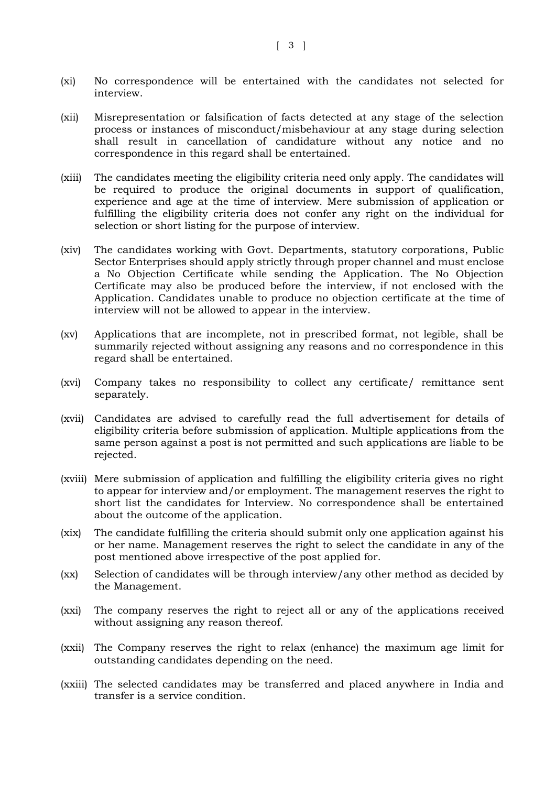- (xi) No correspondence will be entertained with the candidates not selected for interview.
- (xii) Misrepresentation or falsification of facts detected at any stage of the selection process or instances of misconduct/misbehaviour at any stage during selection shall result in cancellation of candidature without any notice and no correspondence in this regard shall be entertained.
- (xiii) The candidates meeting the eligibility criteria need only apply. The candidates will be required to produce the original documents in support of qualification, experience and age at the time of interview. Mere submission of application or fulfilling the eligibility criteria does not confer any right on the individual for selection or short listing for the purpose of interview.
- (xiv) The candidates working with Govt. Departments, statutory corporations, Public Sector Enterprises should apply strictly through proper channel and must enclose a No Objection Certificate while sending the Application. The No Objection Certificate may also be produced before the interview, if not enclosed with the Application. Candidates unable to produce no objection certificate at the time of interview will not be allowed to appear in the interview.
- (xv) Applications that are incomplete, not in prescribed format, not legible, shall be summarily rejected without assigning any reasons and no correspondence in this regard shall be entertained.
- (xvi) Company takes no responsibility to collect any certificate/ remittance sent separately.
- (xvii) Candidates are advised to carefully read the full advertisement for details of eligibility criteria before submission of application. Multiple applications from the same person against a post is not permitted and such applications are liable to be rejected.
- (xviii) Mere submission of application and fulfilling the eligibility criteria gives no right to appear for interview and/or employment. The management reserves the right to short list the candidates for Interview. No correspondence shall be entertained about the outcome of the application.
- (xix) The candidate fulfilling the criteria should submit only one application against his or her name. Management reserves the right to select the candidate in any of the post mentioned above irrespective of the post applied for.
- (xx) Selection of candidates will be through interview/any other method as decided by the Management.
- (xxi) The company reserves the right to reject all or any of the applications received without assigning any reason thereof.
- (xxii) The Company reserves the right to relax (enhance) the maximum age limit for outstanding candidates depending on the need.
- (xxiii) The selected candidates may be transferred and placed anywhere in India and transfer is a service condition.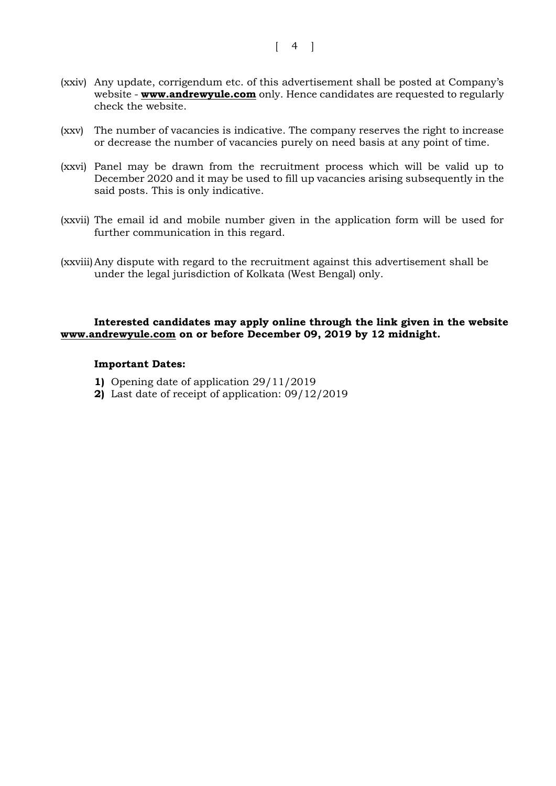- (xxiv) Any update, corrigendum etc. of this advertisement shall be posted at Company's website - **[www.andrewyule.com](http://www.andrewyule.com/)** only. Hence candidates are requested to regularly check the website.
- (xxv) The number of vacancies is indicative. The company reserves the right to increase or decrease the number of vacancies purely on need basis at any point of time.
- (xxvi) Panel may be drawn from the recruitment process which will be valid up to December 2020 and it may be used to fill up vacancies arising subsequently in the said posts. This is only indicative.
- (xxvii) The email id and mobile number given in the application form will be used for further communication in this regard.
- (xxviii)Any dispute with regard to the recruitment against this advertisement shall be under the legal jurisdiction of Kolkata (West Bengal) only.

## **Interested candidates may apply online through the link given in the website [www.andrewyule.com](http://www.andrewyule.com/) on or before December 09, 2019 by 12 midnight.**

### **Important Dates:**

- **1)** Opening date of application 29/11/2019
- **2)** Last date of receipt of application: 09/12/2019